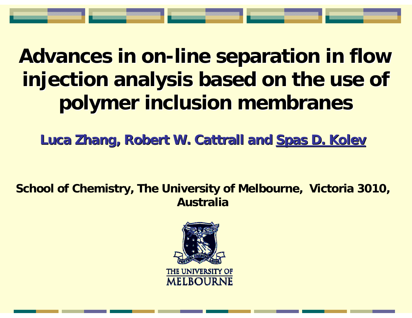# **Advances in on-line separation in flow** injection analysis based on the use of **polymer inclusion membranes polymer inclusion membranes**

**Luca Zhang, Robert W. Cattrall and Spas D. Kolev** 

**School of Chemistry, The University of Melbourne, Victoria 3010, Australia**

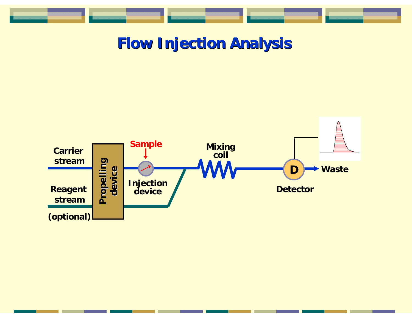

## **Flow Injection Analysis Flow Injection Analysis**

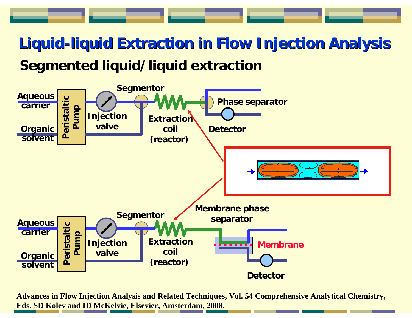# **Liquid-liquid Extraction in Flow Injection Analysis liquid Extraction in Flow Injection Analysis Segmented liquid/liquid extraction**



**Advances in Flow Injection Analysis and Related Techniques, Vol. 54 Comprehensive Analytical Chemistry, Eds. SD Kolev and ID McKelvie, Elsevier, Amsterdam, 2008.**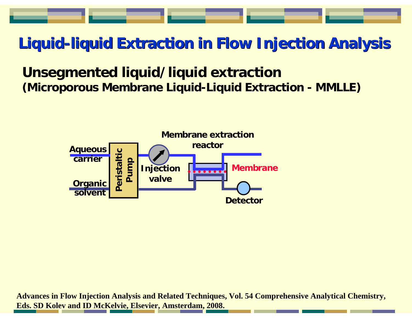# **Liquid-liquid Extraction in Flow Injection Analysis liquid Extraction in Flow Injection Analysis**

## **Unsegmented liquid/liquid extraction (Microporous Membrane Liquid-Liquid Extraction - MMLLE)**



**Advances in Flow Injection Analysis and Related Techniques, Vol. 54 Comprehensive Analytical Chemistry, Eds. SD Kolev and ID McKelvie, Elsevier, Amsterdam, 2008.**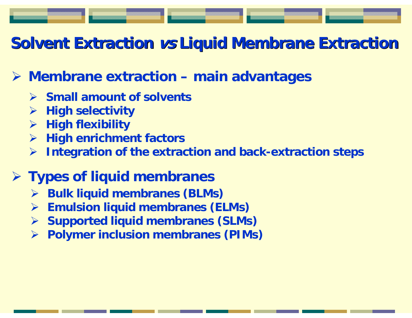# **Solvent Extraction vs Liquid Membrane Extraction**

## ¾ **Membrane extraction – main advantages**

- ¾ **Small amount of solvents**
- ¾**High selectivity**
- ¾**High flexibility**
- ¾**High enrichment factors**
- ¾**Integration of the extraction and back-extraction steps**

## ¾ **Types of liquid membranes**

- ¾**Bulk liquid membranes (BLMs)**
- ¾**Emulsion liquid membranes (ELMs)**
- ¾**Supported liquid membranes (SLMs)**
- ¾**Polymer inclusion membranes (PIMs)**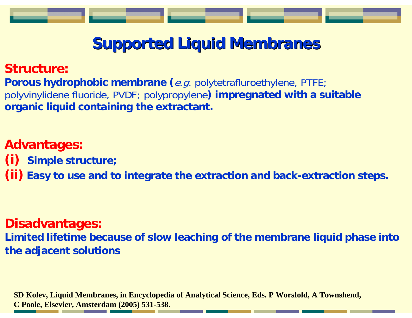# **Supported Liquid Membranes**

#### **Structure:**

Porous hydrophobic membrane (e.g. polytetrafluroethylene, PTFE; polyvinylidene fluoride, PVDF; polypropylene**) impregnated with a suitable organic liquid containing the extractant.**

### **Advantages:**

- **(i) Simple structure;**
- **(ii) Easy to use and to integrate the extraction and back-extraction steps.**

#### **Disadvantages:**

**Limited lifetime because of slow leaching of the membrane liquid phase into the adjacent solutions**

**SD Kolev, Liquid Membranes, in Encyclopedia of Analytical Science, Eds. P Worsfold, A Townshend, C Poole, Elsevier, Amsterdam (2005) 531-538.**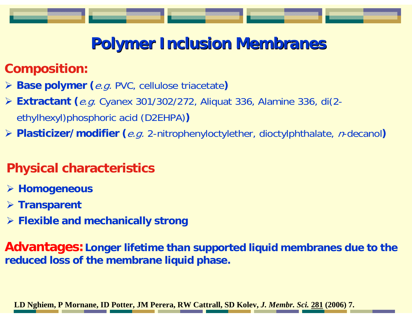# **Polymer Inclusion Membranes Polymer Inclusion Membranes**

## **Composition:**

- ¾ **Base polymer (**e.g. PVC, cellulose triacetate**)**
- ¾ **Extractant (**e.g. Cyanex 301/302/272, Aliquat 336, Alamine 336, di(2 ethylhexyl)phosphoric acid (D2EHPA) **)**
- **≻ Plasticizer/modifier (***e.g.* 2-nitrophenyloctylether, dioctylphthalate, *n*-decanol)

## **Physical characteristics**

- ¾ **Homogeneous**
- ¾ **Transparent**
- ¾ **Flexible and mechanically strong**

**Advantages:Longer lifetime than supported liquid membranes due to the reduced loss of the membrane liquid phase.**

**LD Nghiem, P Mornane, ID Potter, JM Perera, RW Cattrall, SD Kolev,** *J. Membr. Sci.* **281 (2006) 7.**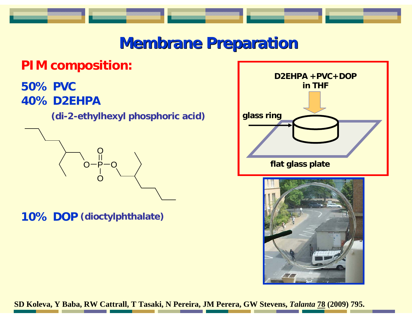# **Membrane Preparation**

## **PIM composition:**

#### **50% PVC40% D2EHPA**

**(di-2-ethylhexyl phosphoric acid)**



**10% DOP (dioctylphthalate)**





**SD Koleva, Y Baba, RW Cattrall, T Tasaki, N Pereira, JM Perera, GW Stevens,** *Talanta* **78 (2009) 795.**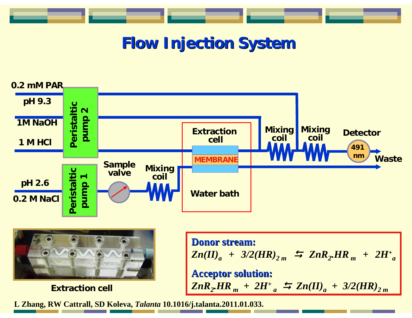# **Flow Injection System**





**Extraction** cell

**Donor stream: Donor stream:**  $Zn(II)_a$  + 3/2(HR)<sub>2 m</sub>  $\leftrightarrows$   $ZnR_2.HR_m$  +  $2H^+_{a}$ **Acceptor solution: Acceptor solution:**  $\left| \frac{ZnR_{2}H}{R_{m}} \right| + 2H^{+}_{a} \right| \stackrel{L}{\rightarrow} \left| \frac{Zn(II)}{a} \right| + \left| \frac{3}{2} \right| H R \right)_{2}$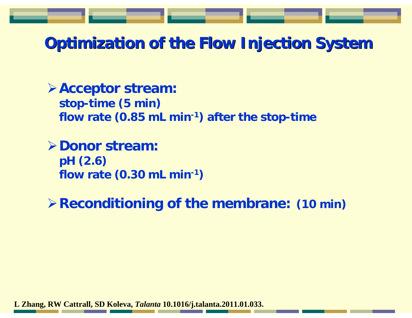# **Optimization of the Flow Injection System**

¾**Acceptor stream: stop-time (5 min) flow rate (0.85 mL min-1) after the stop-time**

¾**Donor stream:pH (2.6) flow rate (0.30 mL min-1 )**

¾**Reconditioning of the membrane: (10 min)**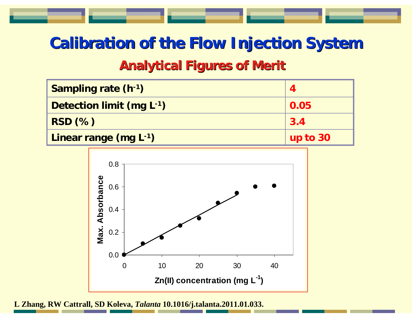# **Calibration of the Flow Injection System Analytical Figures of Merit**

| Sampling rate (h-1)      |          |
|--------------------------|----------|
| Detection limit (mg L-1) | 0.05     |
| $RSD$ $(\%)$             | 3.4      |
| Linear range (mg L-1)    | up to 30 |

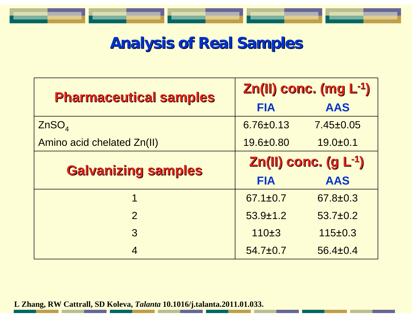# **Analysis of Real Samples**

| <b>Pharmaceutical samples</b> | $Zn(II)$ conc. (mg $L^{-1}$ ) |                |
|-------------------------------|-------------------------------|----------------|
|                               | <b>FIA</b>                    | <b>AAS</b>     |
| ZnSO <sub>4</sub>             | 6.76±0.13                     | 7.45±0.05      |
| Amino acid chelated Zn(II)    | 19.6±0.80                     | $19.0 + 0.1$   |
| <b>Galvanizing samples</b>    | $Zn(II)$ conc. $(g L^{-1})$   |                |
|                               | <b>FIA</b>                    | <b>AAS</b>     |
| 1                             | $67.1 \pm 0.7$                | $67.8 \pm 0.3$ |
| $\overline{2}$                | $53.9 \pm 1.2$                | $53.7 \pm 0.2$ |
| 3                             | 110±3                         | $115 \pm 0.3$  |
| 4                             | $54.7 \pm 0.7$                | $56.4 \pm 0.4$ |